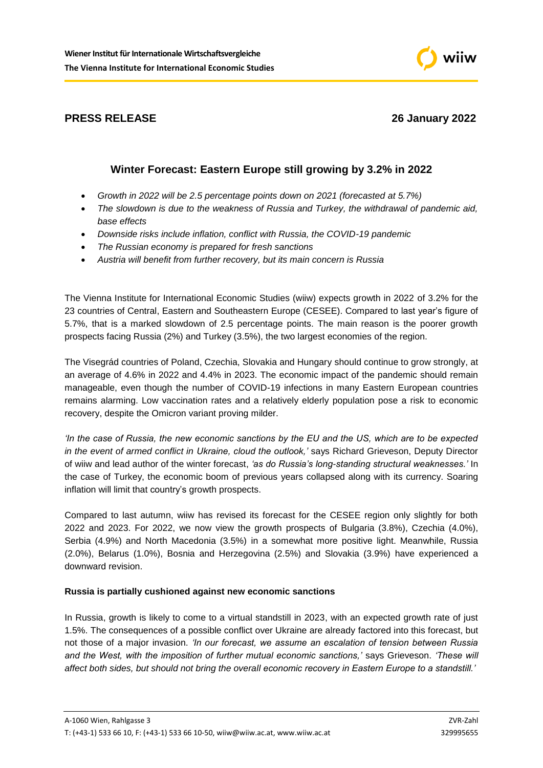

# **PRESS RELEASE** 26 January 2022

# **Winter Forecast: Eastern Europe still growing by 3.2% in 2022**

- *Growth in 2022 will be 2.5 percentage points down on 2021 (forecasted at 5.7%)*
- *The slowdown is due to the weakness of Russia and Turkey, the withdrawal of pandemic aid, base effects*
- *Downside risks include inflation, conflict with Russia, the COVID-19 pandemic*
- *The Russian economy is prepared for fresh sanctions*
- *Austria will benefit from further recovery, but its main concern is Russia*

The Vienna Institute for International Economic Studies (wiiw) expects growth in 2022 of 3.2% for the 23 countries of Central, Eastern and Southeastern Europe (CESEE). Compared to last year's figure of 5.7%, that is a marked slowdown of 2.5 percentage points. The main reason is the poorer growth prospects facing Russia (2%) and Turkey (3.5%), the two largest economies of the region.

The Visegrád countries of Poland, Czechia, Slovakia and Hungary should continue to grow strongly, at an average of 4.6% in 2022 and 4.4% in 2023. The economic impact of the pandemic should remain manageable, even though the number of COVID-19 infections in many Eastern European countries remains alarming. Low vaccination rates and a relatively elderly population pose a risk to economic recovery, despite the Omicron variant proving milder.

*'In the case of Russia, the new economic sanctions by the EU and the US, which are to be expected in the event of armed conflict in Ukraine, cloud the outlook,'* says Richard Grieveson, Deputy Director of wiiw and lead author of the winter forecast, *'as do Russia's long-standing structural weaknesses.'* In the case of Turkey, the economic boom of previous years collapsed along with its currency. Soaring inflation will limit that country's growth prospects.

Compared to last autumn, wiiw has revised its forecast for the CESEE region only slightly for both 2022 and 2023. For 2022, we now view the growth prospects of Bulgaria (3.8%), Czechia (4.0%), Serbia (4.9%) and North Macedonia (3.5%) in a somewhat more positive light. Meanwhile, Russia (2.0%), Belarus (1.0%), Bosnia and Herzegovina (2.5%) and Slovakia (3.9%) have experienced a downward revision.

# **Russia is partially cushioned against new economic sanctions**

In Russia, growth is likely to come to a virtual standstill in 2023, with an expected growth rate of just 1.5%. The consequences of a possible conflict over Ukraine are already factored into this forecast, but not those of a major invasion. *'In our forecast, we assume an escalation of tension between Russia and the West, with the imposition of further mutual economic sanctions,'* says Grieveson. *'These will affect both sides, but should not bring the overall economic recovery in Eastern Europe to a standstill.'*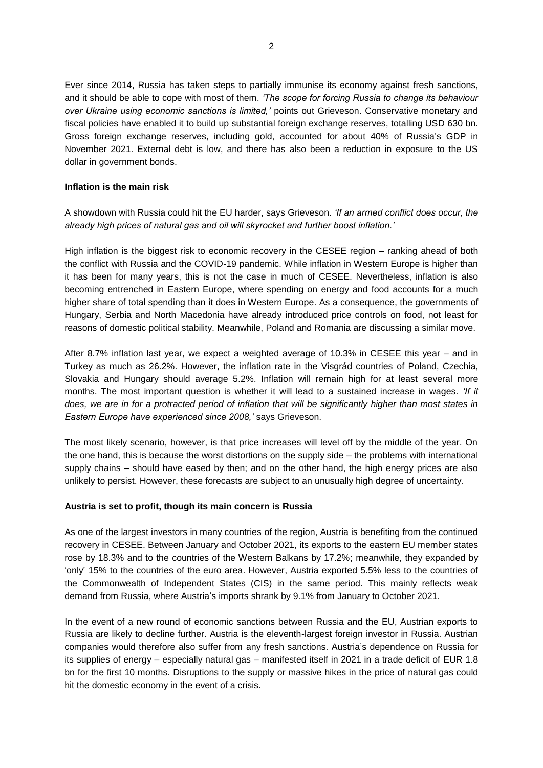Ever since 2014, Russia has taken steps to partially immunise its economy against fresh sanctions, and it should be able to cope with most of them. *'The scope for forcing Russia to change its behaviour over Ukraine using economic sanctions is limited,'* points out Grieveson. Conservative monetary and fiscal policies have enabled it to build up substantial foreign exchange reserves, totalling USD 630 bn. Gross foreign exchange reserves, including gold, accounted for about 40% of Russia's GDP in November 2021. External debt is low, and there has also been a reduction in exposure to the US dollar in government bonds.

### **Inflation is the main risk**

A showdown with Russia could hit the EU harder, says Grieveson. *'If an armed conflict does occur, the already high prices of natural gas and oil will skyrocket and further boost inflation.'*

High inflation is the biggest risk to economic recovery in the CESEE region – ranking ahead of both the conflict with Russia and the COVID-19 pandemic. While inflation in Western Europe is higher than it has been for many years, this is not the case in much of CESEE. Nevertheless, inflation is also becoming entrenched in Eastern Europe, where spending on energy and food accounts for a much higher share of total spending than it does in Western Europe. As a consequence, the governments of Hungary, Serbia and North Macedonia have already introduced price controls on food, not least for reasons of domestic political stability. Meanwhile, Poland and Romania are discussing a similar move.

After 8.7% inflation last year, we expect a weighted average of 10.3% in CESEE this year – and in Turkey as much as 26.2%. However, the inflation rate in the Visgrád countries of Poland, Czechia, Slovakia and Hungary should average 5.2%. Inflation will remain high for at least several more months. The most important question is whether it will lead to a sustained increase in wages. *'If it does, we are in for a protracted period of inflation that will be significantly higher than most states in Eastern Europe have experienced since 2008,'* says Grieveson.

The most likely scenario, however, is that price increases will level off by the middle of the year. On the one hand, this is because the worst distortions on the supply side – the problems with international supply chains – should have eased by then; and on the other hand, the high energy prices are also unlikely to persist. However, these forecasts are subject to an unusually high degree of uncertainty.

#### **Austria is set to profit, though its main concern is Russia**

As one of the largest investors in many countries of the region, Austria is benefiting from the continued recovery in CESEE. Between January and October 2021, its exports to the eastern EU member states rose by 18.3% and to the countries of the Western Balkans by 17.2%; meanwhile, they expanded by 'only' 15% to the countries of the euro area. However, Austria exported 5.5% less to the countries of the Commonwealth of Independent States (CIS) in the same period. This mainly reflects weak demand from Russia, where Austria's imports shrank by 9.1% from January to October 2021.

In the event of a new round of economic sanctions between Russia and the EU, Austrian exports to Russia are likely to decline further. Austria is the eleventh-largest foreign investor in Russia. Austrian companies would therefore also suffer from any fresh sanctions. Austria's dependence on Russia for its supplies of energy – especially natural gas – manifested itself in 2021 in a trade deficit of EUR 1.8 bn for the first 10 months. Disruptions to the supply or massive hikes in the price of natural gas could hit the domestic economy in the event of a crisis.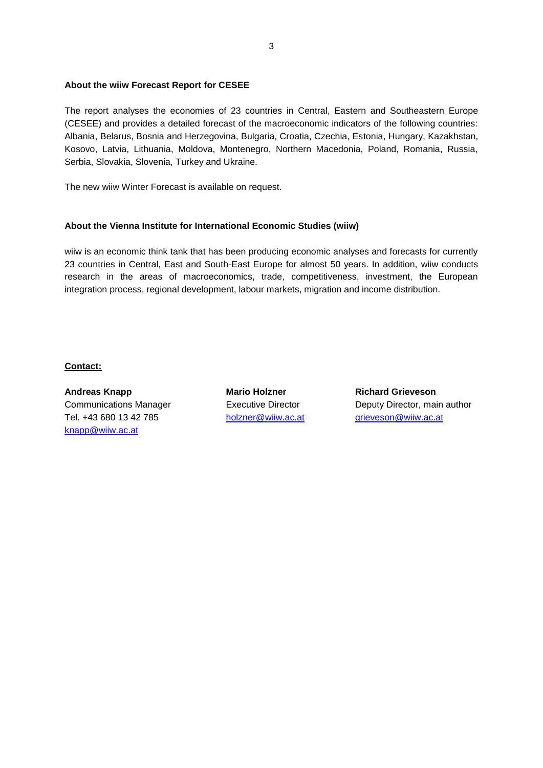#### **About the wiiw Forecast Report for CESEE**

The report analyses the economies of 23 countries in Central, Eastern and Southeastern Europe (CESEE) and provides a detailed forecast of the macroeconomic indicators of the following countries: Albania, Belarus, Bosnia and Herzegovina, Bulgaria, Croatia, Czechia, Estonia, Hungary, Kazakhstan, Kosovo, Latvia, Lithuania, Moldova, Montenegro, Northern Macedonia, Poland, Romania, Russia, Serbia, Slovakia, Slovenia, Turkey and Ukraine.

The new wiiw Winter Forecast is available on request.

#### **About the Vienna Institute for International Economic Studies (wiiw)**

wiiw is an economic think tank that has been producing economic analyses and forecasts for currently 23 countries in Central, East and South-East Europe for almost 50 years. In addition, wiiw conducts research in the areas of macroeconomics, trade, competitiveness, investment, the European integration process, regional development, labour markets, migration and income distribution.

## **Contact:**

**Andreas Knapp Mario Holzner Richard Grieveson** Tel. +43 680 13 42 785 [holzner@wiiw.ac.at](mailto:holzner@wiiw.ac.at) [grieveson@wiiw.ac.at](mailto:grieveson@wiiw.ac.at) [knapp@wiiw.ac.at](mailto:knapp@wiiw.ac.at)

Communications Manager Executive Director Deputy Director, main author